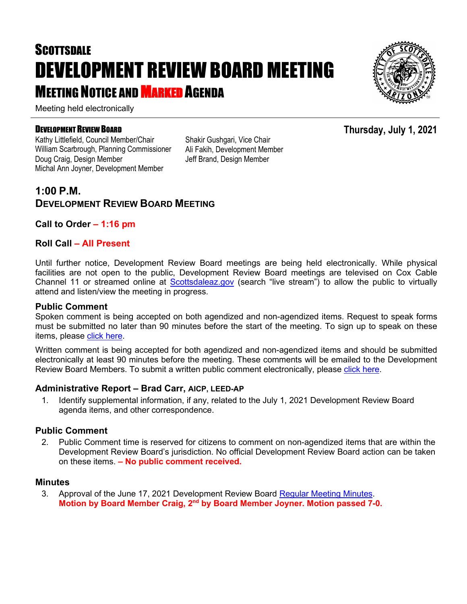# **SCOTTSDALE** DEVELOPMENT REVIEW BOARD MEETING **MEETING NOTICE AND MARKED AGENDA**

Meeting held electronically

#### DEVELOPMENT REVIEW BOARD

Kathy Littlefield, Council Member/Chair William Scarbrough, Planning Commissioner Doug Craig, Design Member Michal Ann Joyner, Development Member

Shakir Gushgari, Vice Chair Ali Fakih, Development Member Jeff Brand, Design Member

### **1:00 P.M. DEVELOPMENT REVIEW BOARD MEETING**

#### **Call to Order – 1:16 pm**

#### **Roll Call – All Present**

Until further notice, Development Review Board meetings are being held electronically. While physical facilities are not open to the public, Development Review Board meetings are televised on Cox Cable Channel 11 or streamed online at [Scottsdaleaz.gov](https://www.scottsdaleaz.gov/) (search "live stream") to allow the public to virtually attend and listen/view the meeting in progress.

#### **Public Comment**

Spoken comment is being accepted on both agendized and non-agendized items. Request to speak forms must be submitted no later than 90 minutes before the start of the meeting. To sign up to speak on these items, please [click here.](https://www.scottsdaleaz.gov/boards/development-review-board/spoken-comment)

Written comment is being accepted for both agendized and non-agendized items and should be submitted electronically at least 90 minutes before the meeting. These comments will be emailed to the Development Review Board Members. To submit a written public comment electronically, please [click here.](https://www.scottsdaleaz.gov/boards/development-review-board/public-comment)

#### **Administrative Report – Brad Carr, AICP, LEED-AP**

1. Identify supplemental information, if any, related to the July 1, 2021 Development Review Board agenda items, and other correspondence.

#### **Public Comment**

2. Public Comment time is reserved for citizens to comment on non-agendized items that are within the Development Review Board's jurisdiction. No official Development Review Board action can be taken on these items. **– No public comment received.**

#### **Minutes**

3. Approval of the June 17, 2021 Development Review Board [Regular Meeting Minutes.](https://eservices.scottsdaleaz.gov/planning/projectsummary/unrelated_documents/DRB_MEETING_MINUTES_06172021.pdf) **Motion by Board Member Craig, 2nd by Board Member Joyner. Motion passed 7-0.**



## **Thursday, July 1, 2021**